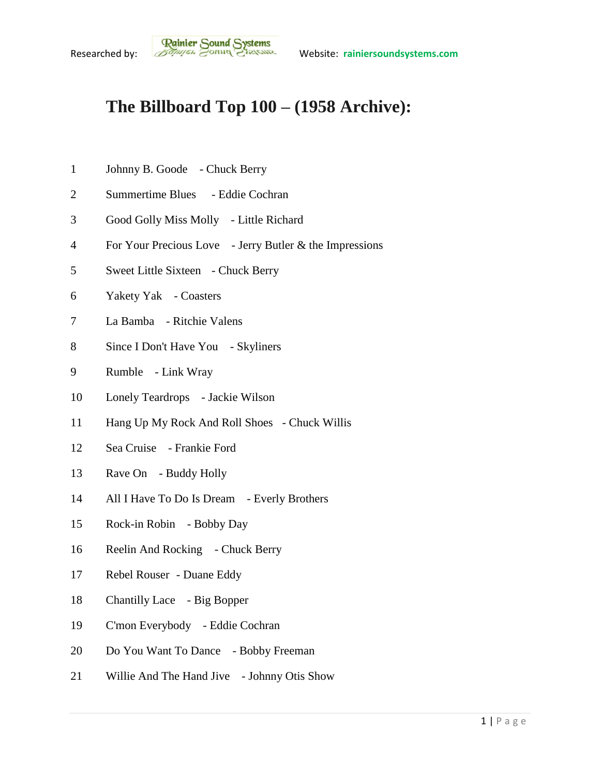## **The Billboard Top 100 – (1958 Archive):**

- Johnny B. Goode Chuck Berry
- Summertime Blues Eddie Cochran
- Good Golly Miss Molly Little Richard
- For Your Precious Love Jerry Butler & the Impressions
- Sweet Little Sixteen Chuck Berry
- Yakety Yak Coasters
- La Bamba Ritchie Valens
- Since I Don't Have You Skyliners
- Rumble Link Wray
- Lonely Teardrops Jackie Wilson
- Hang Up My Rock And Roll Shoes Chuck Willis
- Sea Cruise Frankie Ford
- 13 Rave On Buddy Holly
- All I Have To Do Is Dream Everly Brothers
- Rock-in Robin Bobby Day
- 16 Reelin And Rocking Chuck Berry
- Rebel Rouser Duane Eddy
- Chantilly Lace Big Bopper
- C'mon Everybody Eddie Cochran
- Do You Want To Dance Bobby Freeman
- Willie And The Hand Jive Johnny Otis Show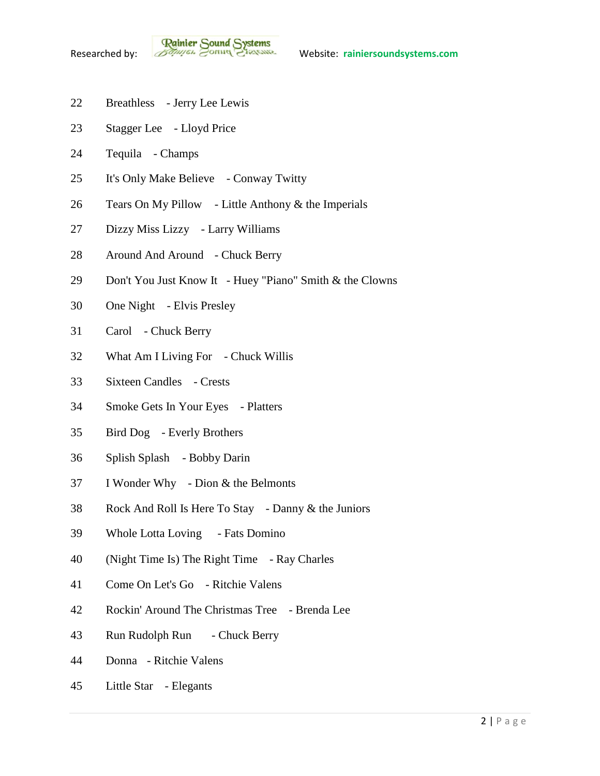- Breathless Jerry Lee Lewis
- Stagger Lee Lloyd Price
- Tequila Champs
- It's Only Make Believe Conway Twitty
- Tears On My Pillow Little Anthony & the Imperials
- Dizzy Miss Lizzy Larry Williams
- Around And Around Chuck Berry
- Don't You Just Know It Huey "Piano" Smith & the Clowns
- One Night Elvis Presley
- Carol Chuck Berry
- What Am I Living For Chuck Willis
- Sixteen Candles Crests
- Smoke Gets In Your Eyes Platters
- Bird Dog Everly Brothers
- Splish Splash Bobby Darin
- I Wonder Why Dion & the Belmonts
- Rock And Roll Is Here To Stay Danny & the Juniors
- Whole Lotta Loving Fats Domino
- (Night Time Is) The Right Time Ray Charles
- Come On Let's Go Ritchie Valens
- Rockin' Around The Christmas Tree Brenda Lee
- 43 Run Rudolph Run Chuck Berry
- Donna Ritchie Valens
- Little Star Elegants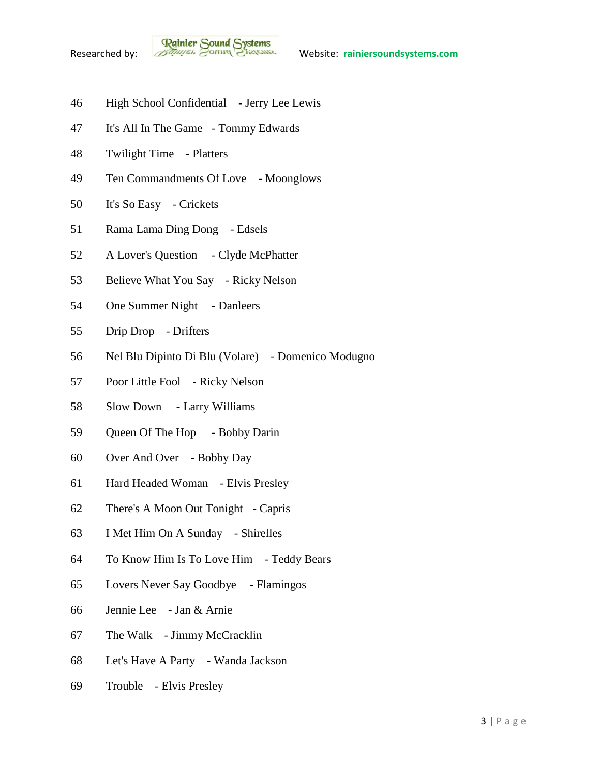

- High School Confidential Jerry Lee Lewis
- It's All In The Game Tommy Edwards
- Twilight Time Platters
- Ten Commandments Of Love Moonglows
- It's So Easy Crickets
- Rama Lama Ding Dong Edsels
- A Lover's Question Clyde McPhatter
- Believe What You Say Ricky Nelson
- 54 One Summer Night Danleers
- Drip Drop Drifters
- Nel Blu Dipinto Di Blu (Volare) Domenico Modugno
- Poor Little Fool Ricky Nelson
- Slow Down Larry Williams
- Queen Of The Hop Bobby Darin
- Over And Over Bobby Day
- Hard Headed Woman Elvis Presley
- There's A Moon Out Tonight Capris
- I Met Him On A Sunday Shirelles
- To Know Him Is To Love Him Teddy Bears
- Lovers Never Say Goodbye Flamingos
- Jennie Lee Jan & Arnie
- The Walk Jimmy McCracklin
- Let's Have A Party Wanda Jackson
- Trouble Elvis Presley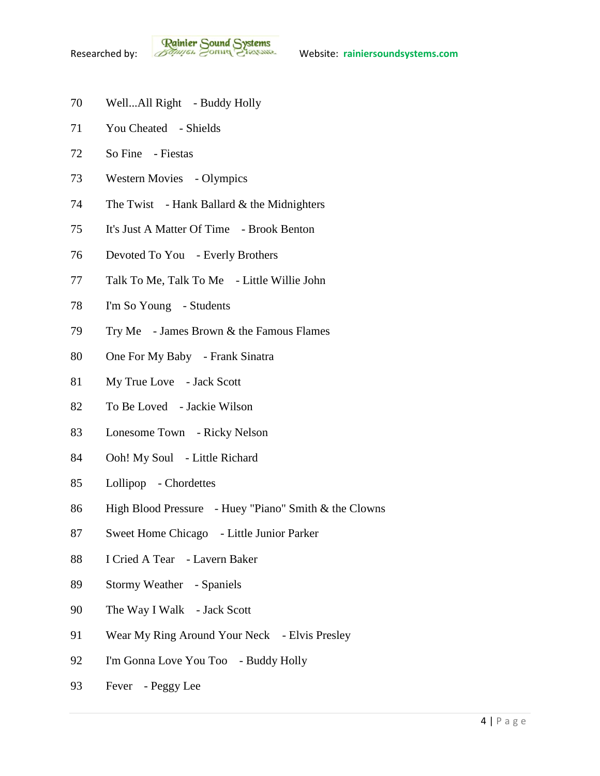- Well...All Right Buddy Holly
- You Cheated Shields
- So Fine Fiestas
- Western Movies Olympics
- 74 The Twist Hank Ballard  $&$  the Midnighters
- It's Just A Matter Of Time Brook Benton
- Devoted To You Everly Brothers
- Talk To Me, Talk To Me Little Willie John
- I'm So Young Students
- Try Me James Brown & the Famous Flames
- One For My Baby Frank Sinatra
- My True Love Jack Scott
- To Be Loved Jackie Wilson
- Lonesome Town Ricky Nelson
- Ooh! My Soul Little Richard
- Lollipop Chordettes
- High Blood Pressure Huey "Piano" Smith & the Clowns
- Sweet Home Chicago Little Junior Parker
- I Cried A Tear Lavern Baker
- Stormy Weather Spaniels
- 90 The Way I Walk Jack Scott
- 91 Wear My Ring Around Your Neck Elvis Presley
- I'm Gonna Love You Too Buddy Holly
- Fever Peggy Lee